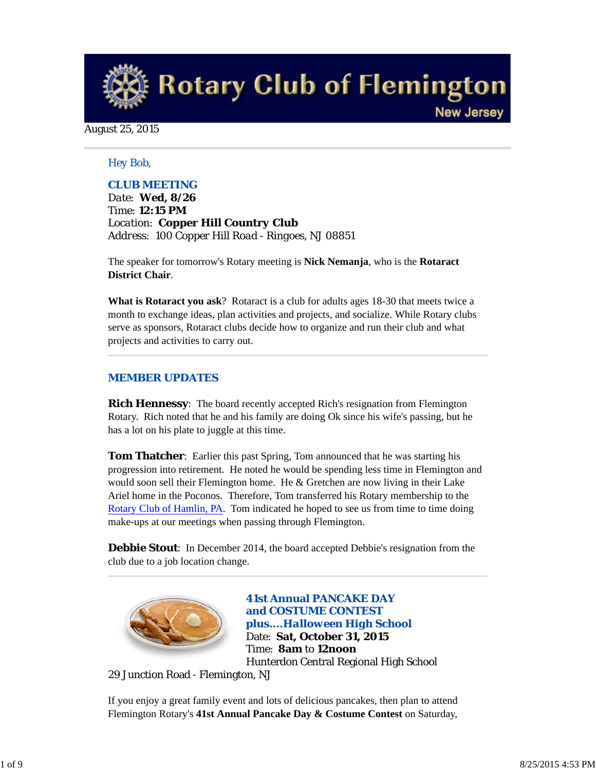**Rotary Club of Flemington New Jersey** 

August 25, 2015

## *Hey Bob,*

## *CLUB MEETING*

*Date: Wed, 8/26 Time: 12:15 PM Location: Copper Hill Country Club Address: 100 Copper Hill Road - Ringoes, NJ 08851*

The speaker for tomorrow's Rotary meeting is **Nick Nemanja**, who is the **Rotaract District Chair**.

**What is Rotaract you ask**? Rotaract is a club for adults ages 18-30 that meets twice a month to exchange ideas, plan activities and projects, and socialize. While Rotary clubs serve as sponsors, Rotaract clubs decide how to organize and run their club and what projects and activities to carry out.

#### *MEMBER UPDATES*

**Rich Hennessy**: The board recently accepted Rich's resignation from Flemington Rotary. Rich noted that he and his family are doing Ok since his wife's passing, but he has a lot on his plate to juggle at this time.

**Tom Thatcher**: Earlier this past Spring, Tom announced that he was starting his progression into retirement. He noted he would be spending less time in Flemington and would soon sell their Flemington home. He & Gretchen are now living in their Lake Ariel home in the Poconos. Therefore, Tom transferred his Rotary membership to the Rotary Club of Hamlin, PA. Tom indicated he hoped to see us from time to time doing make-ups at our meetings when passing through Flemington.

**Debbie Stout**: In December 2014, the board accepted Debbie's resignation from the club due to a job location change.



**41st Annual PANCAKE DAY and COSTUME CONTEST**  *plus....Halloween High School* Date: **Sat, October 31, 2015** Time: **8am** to **12noon** Hunterdon Central Regional High School

29 Junction Road - Flemington, NJ

If you enjoy a great family event and lots of delicious pancakes, then plan to attend Flemington Rotary's **41st Annual Pancake Day & Costume Contest** on Saturday,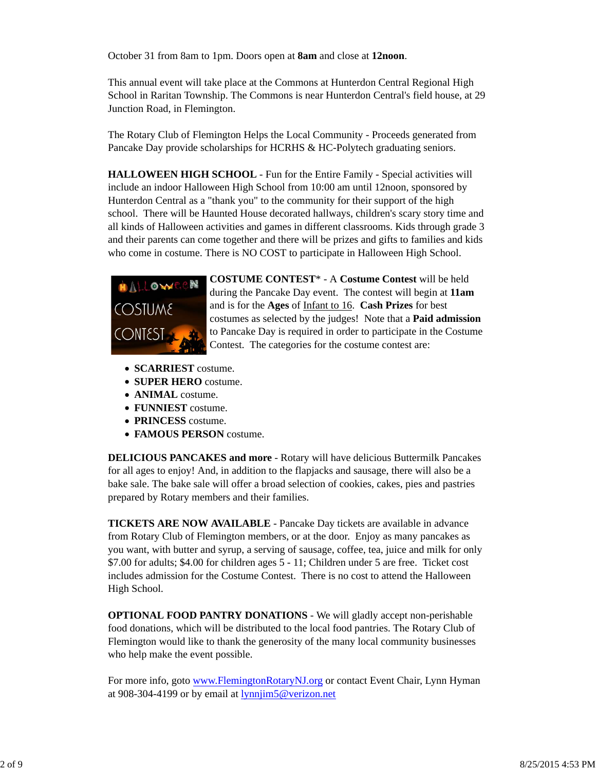October 31 from 8am to 1pm. Doors open at **8am** and close at **12noon**.

This annual event will take place at the Commons at Hunterdon Central Regional High School in Raritan Township. The Commons is near Hunterdon Central's field house, at 29 Junction Road, in Flemington.

The Rotary Club of Flemington Helps the Local Community - Proceeds generated from Pancake Day provide scholarships for HCRHS & HC-Polytech graduating seniors.

**HALLOWEEN HIGH SCHOOL** - Fun for the Entire Family - Special activities will include an indoor Halloween High School from 10:00 am until 12noon, sponsored by Hunterdon Central as a "thank you" to the community for their support of the high school. There will be Haunted House decorated hallways, children's scary story time and all kinds of Halloween activities and games in different classrooms. Kids through grade 3 and their parents can come together and there will be prizes and gifts to families and kids who come in costume. There is NO COST to participate in Halloween High School.



**COSTUME CONTEST**\* - A **Costume Contest** will be held during the Pancake Day event. The contest will begin at **11am** and is for the **Ages** of Infant to 16. **Cash Prizes** for best costumes as selected by the judges! Note that a **Paid admission** to Pancake Day is required in order to participate in the Costume Contest. The categories for the costume contest are:

- **SCARRIEST** costume.
- **SUPER HERO** costume.
- **ANIMAL** costume.
- **FUNNIEST** costume.
- **PRINCESS** costume.
- **FAMOUS PERSON** costume.

**DELICIOUS PANCAKES and more** - Rotary will have delicious Buttermilk Pancakes for all ages to enjoy! And, in addition to the flapjacks and sausage, there will also be a bake sale. The bake sale will offer a broad selection of cookies, cakes, pies and pastries prepared by Rotary members and their families.

**TICKETS ARE NOW AVAILABLE** - Pancake Day tickets are available in advance from Rotary Club of Flemington members, or at the door. Enjoy as many pancakes as you want, with butter and syrup, a serving of sausage, coffee, tea, juice and milk for only \$7.00 for adults; \$4.00 for children ages 5 - 11; Children under 5 are free. Ticket cost includes admission for the Costume Contest. There is no cost to attend the Halloween High School.

**OPTIONAL FOOD PANTRY DONATIONS** - We will gladly accept non-perishable food donations, which will be distributed to the local food pantries. The Rotary Club of Flemington would like to thank the generosity of the many local community businesses who help make the event possible.

For more info, goto www.FlemingtonRotaryNJ.org or contact Event Chair, Lynn Hyman at 908-304-4199 or by email at lynnjim5@verizon.net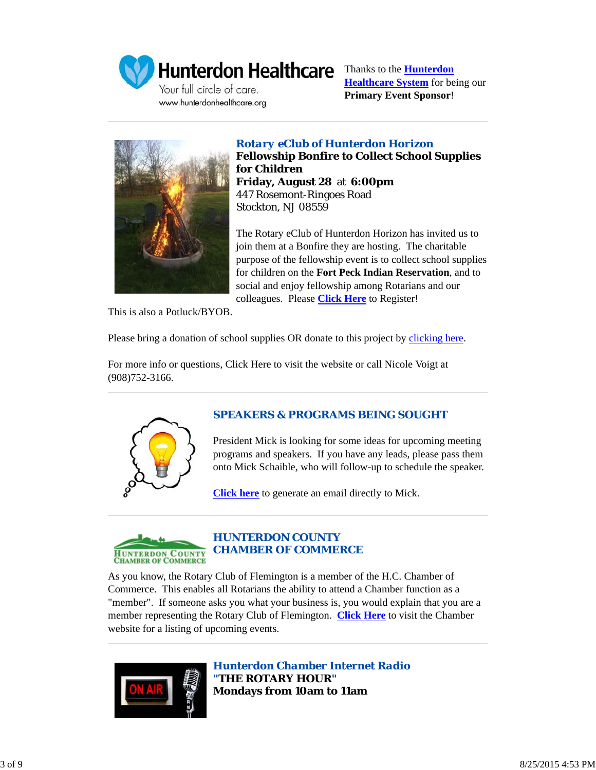

Your full circle of care. www.hunterdonhealthcare.org

Hunterdon Healthcare Thanks to the **Hunterdon Healthcare System** for being our **Primary Event Sponsor**!



*Rotary eClub of Hunterdon Horizon* **Fellowship Bonfire to Collect School Supplies for Children Friday, August 28** at **6:00pm** 447 Rosemont-Ringoes Road Stockton, NJ 08559

The Rotary eClub of Hunterdon Horizon has invited us to join them at a Bonfire they are hosting. The charitable purpose of the fellowship event is to collect school supplies for children on the **Fort Peck Indian Reservation**, and to social and enjoy fellowship among Rotarians and our colleagues. Please **Click Here** to Register!

This is also a Potluck/BYOB.

Please bring a donation of school supplies OR donate to this project by clicking here.

For more info or questions, Click Here to visit the website or call Nicole Voigt at (908)752-3166.



# *SPEAKERS & PROGRAMS BEING SOUGHT*

President Mick is looking for some ideas for upcoming meeting programs and speakers. If you have any leads, please pass them onto Mick Schaible, who will follow-up to schedule the speaker.

**Click here** to generate an email directly to Mick.



# *HUNTERDON COUNTY CHAMBER OF COMMERCE*

As you know, the Rotary Club of Flemington is a member of the H.C. Chamber of Commerce. This enables all Rotarians the ability to attend a Chamber function as a "member". If someone asks you what your business is, you would explain that you are a member representing the Rotary Club of Flemington. **Click Here** to visit the Chamber website for a listing of upcoming events.



*Hunterdon Chamber Internet Radio "THE ROTARY HOUR"* **Mondays from 10am to 11am**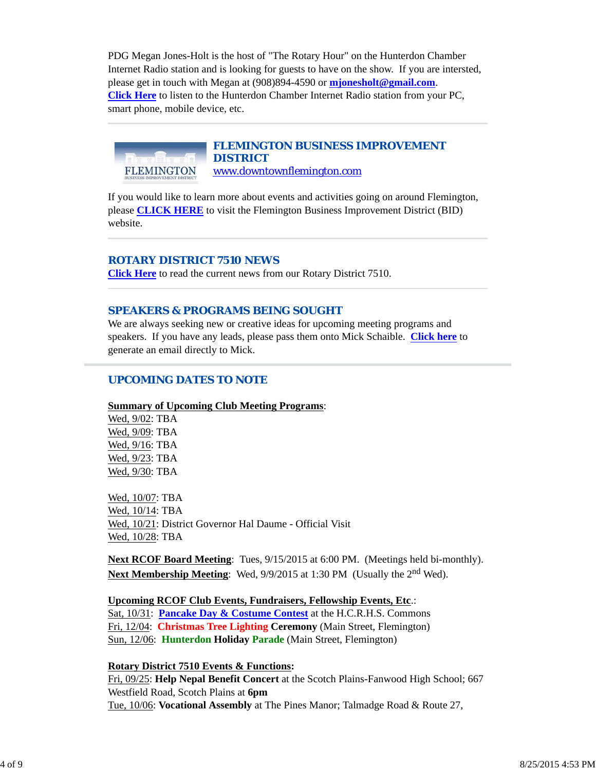PDG Megan Jones-Holt is the host of "The Rotary Hour" on the Hunterdon Chamber Internet Radio station and is looking for guests to have on the show. If you are intersted, please get in touch with Megan at (908)894-4590 or **mjonesholt@gmail.com**. **Click Here** to listen to the Hunterdon Chamber Internet Radio station from your PC, smart phone, mobile device, etc.

*FLEMINGTON BUSINESS IMPROVEMENT DISTRICT* FLEMINGTON www.downtownflemington.com

If you would like to learn more about events and activities going on around Flemington, please **CLICK HERE** to visit the Flemington Business Improvement District (BID) website.

# *ROTARY DISTRICT 7510 NEWS*

**Click Here** to read the current news from our Rotary District 7510.

## *SPEAKERS & PROGRAMS BEING SOUGHT*

We are always seeking new or creative ideas for upcoming meeting programs and speakers. If you have any leads, please pass them onto Mick Schaible. **Click here** to generate an email directly to Mick.

## *UPCOMING DATES TO NOTE*

#### **Summary of Upcoming Club Meeting Programs**:

Wed, 9/02: TBA Wed, 9/09: TBA Wed, 9/16: TBA Wed, 9/23: TBA Wed, 9/30: TBA

Wed, 10/07: TBA Wed, 10/14: TBA Wed, 10/21: District Governor Hal Daume - Official Visit Wed, 10/28: TBA

**Next RCOF Board Meeting**: Tues, 9/15/2015 at 6:00 PM. (Meetings held bi-monthly). **Next Membership Meeting**: Wed, 9/9/2015 at 1:30 PM (Usually the 2<sup>nd</sup> Wed).

**Upcoming RCOF Club Events, Fundraisers, Fellowship Events, Etc**.:

Sat, 10/31: **Pancake Day & Costume Contest** at the H.C.R.H.S. Commons Fri, 12/04: **Christmas Tree Lighting Ceremony** (Main Street, Flemington) Sun, 12/06: **Hunterdon Holiday Parade** (Main Street, Flemington)

**Rotary District 7510 Events & Functions:**

Fri, 09/25: **Help Nepal Benefit Concert** at the Scotch Plains-Fanwood High School; 667 Westfield Road, Scotch Plains at **6pm** Tue, 10/06: **Vocational Assembly** at The Pines Manor; Talmadge Road & Route 27,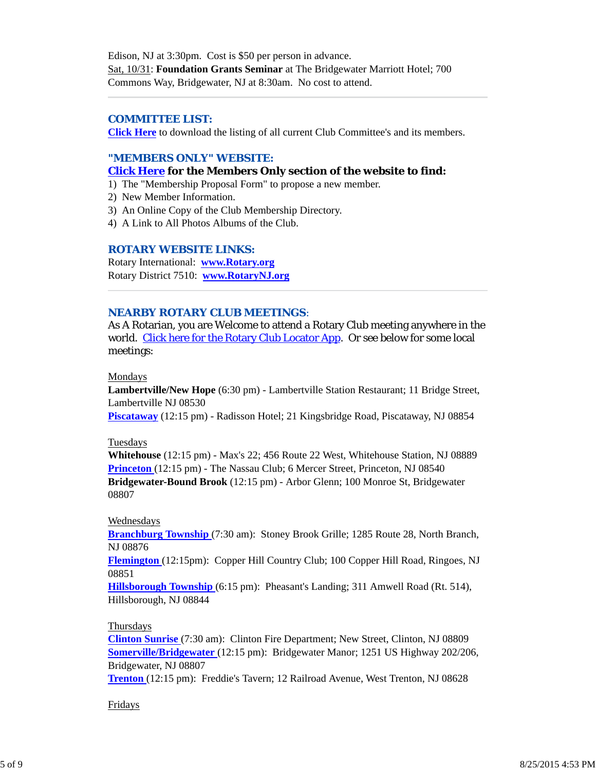Edison, NJ at 3:30pm. Cost is \$50 per person in advance. Sat, 10/31: **Foundation Grants Seminar** at The Bridgewater Marriott Hotel; 700 Commons Way, Bridgewater, NJ at 8:30am. No cost to attend.

## *COMMITTEE LIST:*

**Click Here** to download the listing of all current Club Committee's and its members.

## *"MEMBERS ONLY" WEBSITE:*

#### **Click Here for the Members Only section of the website to find:**

- 1) The "Membership Proposal Form" to propose a new member.
- 2) New Member Information.
- 3) An Online Copy of the Club Membership Directory.
- 4) A Link to All Photos Albums of the Club.

#### *ROTARY WEBSITE LINKS:*

Rotary International: **www.Rotary.org** Rotary District 7510: **www.RotaryNJ.org**

#### *NEARBY ROTARY CLUB MEETINGS:*

As A Rotarian, you are Welcome to attend a Rotary Club meeting anywhere in the world. Click here for the Rotary Club Locator App. Or see below for some local meetings:

#### Mondays

**Lambertville/New Hope** (6:30 pm) - Lambertville Station Restaurant; 11 Bridge Street, Lambertville NJ 08530

**Piscataway** (12:15 pm) - Radisson Hotel; 21 Kingsbridge Road, Piscataway, NJ 08854

#### Tuesdays

**Whitehouse** (12:15 pm) - Max's 22; 456 Route 22 West, Whitehouse Station, NJ 08889 **Princeton** (12:15 pm) - The Nassau Club; 6 Mercer Street, Princeton, NJ 08540 **Bridgewater-Bound Brook** (12:15 pm) - Arbor Glenn; 100 Monroe St, Bridgewater 08807

#### Wednesdays

**Branchburg Township** (7:30 am): Stoney Brook Grille; 1285 Route 28, North Branch, NJ 08876

**Flemington** (12:15pm): Copper Hill Country Club; 100 Copper Hill Road, Ringoes, NJ 08851

**Hillsborough Township** (6:15 pm): Pheasant's Landing; 311 Amwell Road (Rt. 514), Hillsborough, NJ 08844

#### Thursdays

**Clinton Sunrise** (7:30 am): Clinton Fire Department; New Street, Clinton, NJ 08809 **Somerville/Bridgewater** (12:15 pm): Bridgewater Manor; 1251 US Highway 202/206, Bridgewater, NJ 08807

**Trenton** (12:15 pm): Freddie's Tavern; 12 Railroad Avenue, West Trenton, NJ 08628

#### Fridays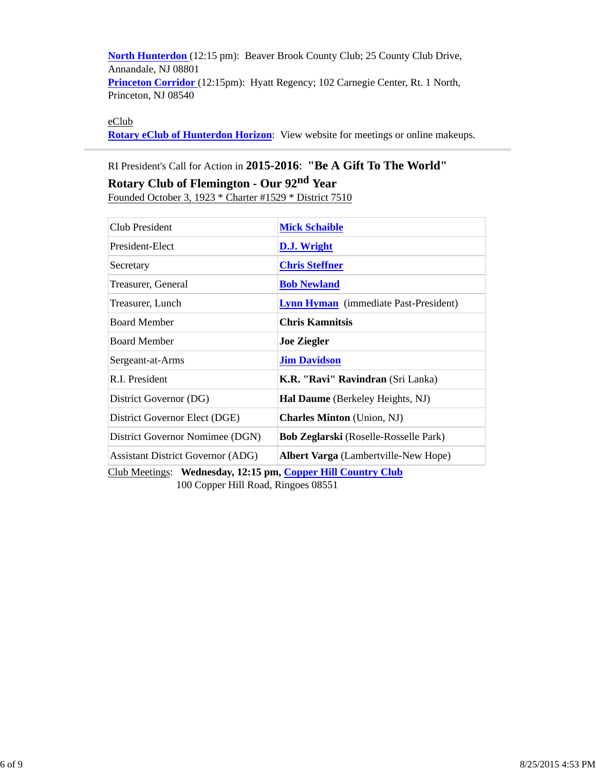**North Hunterdon** (12:15 pm): Beaver Brook County Club; 25 County Club Drive, Annandale, NJ 08801 **Princeton Corridor** (12:15pm): Hyatt Regency; 102 Carnegie Center, Rt. 1 North, Princeton, NJ 08540

eClub

**Rotary eClub of Hunterdon Horizon**: View website for meetings or online makeups.

# RI President's Call for Action in **2015-2016**: **"Be A Gift To The World"**

# **Rotary Club of Flemington - Our 92nd Year**

Founded October 3, 1923 \* Charter #1529 \* District 7510

| <b>Club President</b>                                        | <b>Mick Schaible</b>                         |  |  |
|--------------------------------------------------------------|----------------------------------------------|--|--|
| President-Elect                                              | <b>D.J. Wright</b>                           |  |  |
| Secretary                                                    | <b>Chris Steffner</b>                        |  |  |
| Treasurer, General                                           | <b>Bob Newland</b>                           |  |  |
| Treasurer, Lunch                                             | <b>Lynn Hyman</b> (immediate Past-President) |  |  |
| <b>Board Member</b>                                          | <b>Chris Kamnitsis</b>                       |  |  |
| <b>Board Member</b>                                          | <b>Joe Ziegler</b>                           |  |  |
| Sergeant-at-Arms                                             | <b>Jim Davidson</b>                          |  |  |
| R.I. President                                               | K.R. "Ravi" Ravindran (Sri Lanka)            |  |  |
| District Governor (DG)                                       | Hal Daume (Berkeley Heights, NJ)             |  |  |
| District Governor Elect (DGE)                                | <b>Charles Minton</b> (Union, NJ)            |  |  |
| District Governor Nomimee (DGN)                              | <b>Bob Zeglarski</b> (Roselle-Rosselle Park) |  |  |
| <b>Assistant District Governor (ADG)</b>                     | <b>Albert Varga</b> (Lambertville-New Hope)  |  |  |
| Club Meetings: Wednesday, 12:15 pm, Copper Hill Country Club |                                              |  |  |

100 Copper Hill Road, Ringoes 08551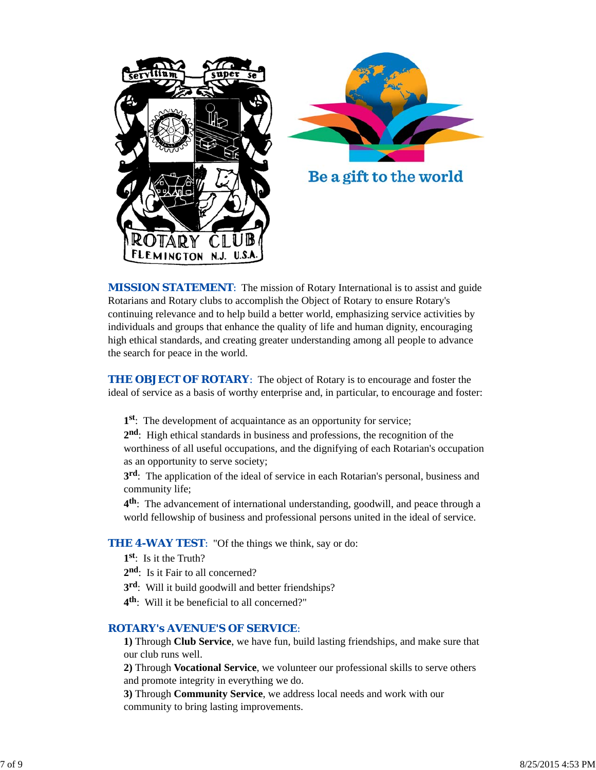



*MISSION STATEMENT*: The mission of Rotary International is to assist and guide Rotarians and Rotary clubs to accomplish the Object of Rotary to ensure Rotary's continuing relevance and to help build a better world, emphasizing service activities by individuals and groups that enhance the quality of life and human dignity, encouraging high ethical standards, and creating greater understanding among all people to advance the search for peace in the world.

**THE OBJECT OF ROTARY:** The object of Rotary is to encourage and foster the ideal of service as a basis of worthy enterprise and, in particular, to encourage and foster:

**1st**: The development of acquaintance as an opportunity for service;

**2nd**: High ethical standards in business and professions, the recognition of the worthiness of all useful occupations, and the dignifying of each Rotarian's occupation as an opportunity to serve society;

**3rd**: The application of the ideal of service in each Rotarian's personal, business and community life;

**4th**: The advancement of international understanding, goodwill, and peace through a world fellowship of business and professional persons united in the ideal of service.

# **THE 4-WAY TEST:** "Of the things we think, say or do:

**1st**: Is it the Truth?

- 2<sup>nd</sup>: Is it Fair to all concerned?
- **3rd**: Will it build goodwill and better friendships?
- **4th**: Will it be beneficial to all concerned?"

## *ROTARY's AVENUE'S OF SERVICE*:

**1)** Through **Club Service**, we have fun, build lasting friendships, and make sure that our club runs well.

**2)** Through **Vocational Service**, we volunteer our professional skills to serve others and promote integrity in everything we do.

**3)** Through **Community Service**, we address local needs and work with our community to bring lasting improvements.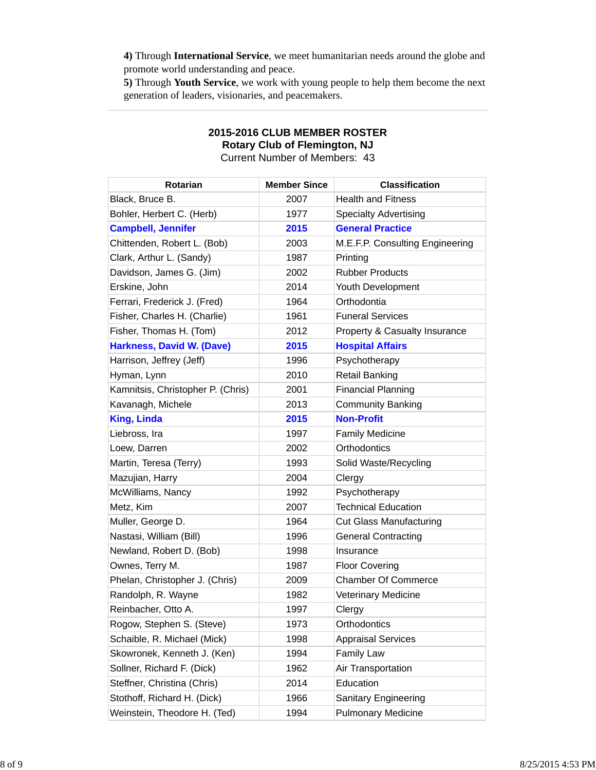**4)** Through **International Service**, we meet humanitarian needs around the globe and promote world understanding and peace.

**5)** Through **Youth Service**, we work with young people to help them become the next generation of leaders, visionaries, and peacemakers.

| הסטוונטואו וט ושטוווואז ווט       |                     |                                          |  |  |
|-----------------------------------|---------------------|------------------------------------------|--|--|
| <b>Rotarian</b>                   | <b>Member Since</b> | <b>Classification</b>                    |  |  |
| Black, Bruce B.                   | 2007                | <b>Health and Fitness</b>                |  |  |
| Bohler, Herbert C. (Herb)         | 1977                | <b>Specialty Advertising</b>             |  |  |
| <b>Campbell, Jennifer</b>         | 2015                | <b>General Practice</b>                  |  |  |
| Chittenden, Robert L. (Bob)       | 2003                | M.E.F.P. Consulting Engineering          |  |  |
| Clark, Arthur L. (Sandy)          | 1987                | Printing                                 |  |  |
| Davidson, James G. (Jim)          | 2002                | <b>Rubber Products</b>                   |  |  |
| Erskine, John                     | 2014                | Youth Development                        |  |  |
| Ferrari, Frederick J. (Fred)      | 1964                | Orthodontia                              |  |  |
| Fisher, Charles H. (Charlie)      | 1961                | <b>Funeral Services</b>                  |  |  |
| Fisher, Thomas H. (Tom)           | 2012                | <b>Property &amp; Casualty Insurance</b> |  |  |
| <b>Harkness, David W. (Dave)</b>  | 2015                | <b>Hospital Affairs</b>                  |  |  |
| Harrison, Jeffrey (Jeff)          | 1996                | Psychotherapy                            |  |  |
| Hyman, Lynn                       | 2010                | <b>Retail Banking</b>                    |  |  |
| Kamnitsis, Christopher P. (Chris) | 2001                | <b>Financial Planning</b>                |  |  |
| Kavanagh, Michele                 | 2013                | <b>Community Banking</b>                 |  |  |
| <b>King, Linda</b>                | 2015                | <b>Non-Profit</b>                        |  |  |
| Liebross, Ira                     | 1997                | <b>Family Medicine</b>                   |  |  |
| Loew, Darren                      | 2002                | Orthodontics                             |  |  |
| Martin, Teresa (Terry)            | 1993                | Solid Waste/Recycling                    |  |  |
| Mazujian, Harry                   | 2004                | Clergy                                   |  |  |
| McWilliams, Nancy                 | 1992                | Psychotherapy                            |  |  |
| Metz, Kim                         | 2007                | <b>Technical Education</b>               |  |  |
| Muller, George D.                 | 1964                | <b>Cut Glass Manufacturing</b>           |  |  |
| Nastasi, William (Bill)           | 1996                | <b>General Contracting</b>               |  |  |
| Newland, Robert D. (Bob)          | 1998                | Insurance                                |  |  |
| Ownes, Terry M.                   | 1987                | <b>Floor Covering</b>                    |  |  |
| Phelan, Christopher J. (Chris)    | 2009                | <b>Chamber Of Commerce</b>               |  |  |
| Randolph, R. Wayne                | 1982                | <b>Veterinary Medicine</b>               |  |  |
| Reinbacher, Otto A.               | 1997                | Clergy                                   |  |  |
| Rogow, Stephen S. (Steve)         | 1973                | Orthodontics                             |  |  |
| Schaible, R. Michael (Mick)       | 1998                | <b>Appraisal Services</b>                |  |  |
| Skowronek, Kenneth J. (Ken)       | 1994                | <b>Family Law</b>                        |  |  |
| Sollner, Richard F. (Dick)        | 1962                | Air Transportation                       |  |  |
| Steffner, Christina (Chris)       | 2014                | Education                                |  |  |
| Stothoff, Richard H. (Dick)       | 1966                | <b>Sanitary Engineering</b>              |  |  |
| Weinstein, Theodore H. (Ted)      | 1994                | <b>Pulmonary Medicine</b>                |  |  |

# **2015-2016 CLUB MEMBER ROSTER Rotary Club of Flemington, NJ** Current Number of Members: 43